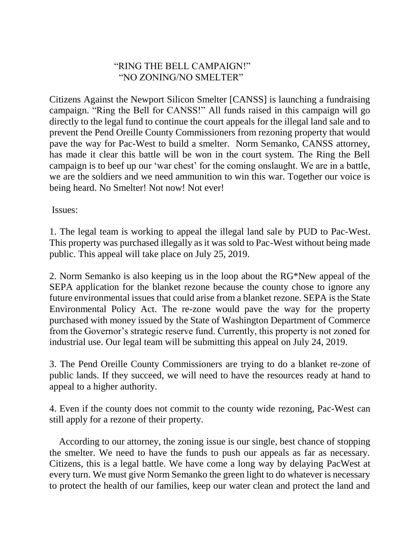## "RING THE BELL CAMPAIGN!" "NO ZONING/NO SMELTER"

Citizens Against the Newport Silicon Smelter [CANSS] is launching a fundraising campaign. "Ring the Bell for CANSS!" All funds raised in this campaign will go directly to the legal fund to continue the court appeals for the illegal land sale and to prevent the Pend Oreille County Commissioners from rezoning property that would pave the way for Pac-West to build a smelter. Norm Semanko, CANSS attorney, has made it clear this battle will be won in the court system. The Ring the Bell campaign is to beef up our 'war chest' for the coming onslaught. We are in a battle, we are the soldiers and we need ammunition to win this war. Together our voice is being heard. No Smelter! Not now! Not ever!

Issues:

1. The legal team is working to appeal the illegal land sale by PUD to Pac-West. This property was purchased illegally as it was sold to Pac-West without being made public. This appeal will take place on July 25, 2019.

2. Norm Semanko is also keeping us in the loop about the RG\*New appeal of the SEPA application for the blanket rezone because the county chose to ignore any future environmental issues that could arise from a blanket rezone. SEPA is the State Environmental Policy Act. The re-zone would pave the way for the property purchased with money issued by the State of Washington Department of Commerce from the Governor's strategic reserve fund. Currently, this property is not zoned for industrial use. Our legal team will be submitting this appeal on July 24, 2019.

3. The Pend Oreille County Commissioners are trying to do a blanket re-zone of public lands. If they succeed, we will need to have the resources ready at hand to appeal to a higher authority.

4. Even if the county does not commit to the county wide rezoning, Pac-West can still apply for a rezone of their property.

 According to our attorney, the zoning issue is our single, best chance of stopping the smelter. We need to have the funds to push our appeals as far as necessary. Citizens, this is a legal battle. We have come a long way by delaying PacWest at every turn. We must give Norm Semanko the green light to do whatever is necessary to protect the health of our families, keep our water clean and protect the land and